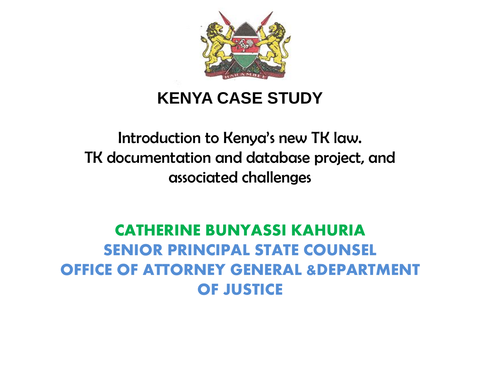

#### **KENYA CASE STUDY**

#### Introduction to Kenya's new TK law. TK documentation and database project, and associated challenges

#### **CATHERINE BUNYASSI KAHURIA SENIOR PRINCIPAL STATE COUNSEL OFFICE OF ATTORNEY GENERAL &DEPARTMENT OF JUSTICE**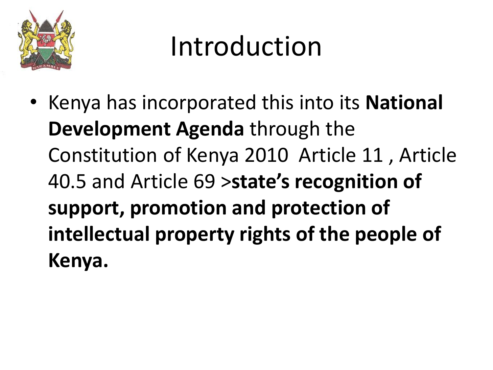

## Introduction

• Kenya has incorporated this into its **National Development Agenda** through the Constitution of Kenya 2010 Article 11 , Article 40.5 and Article 69 >**state's recognition of support, promotion and protection of intellectual property rights of the people of Kenya.**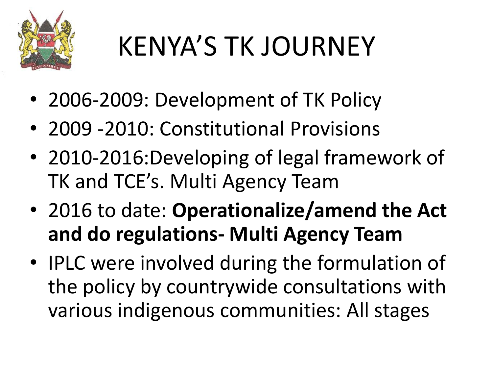

# KENYA'S TK JOURNEY

- 2006-2009: Development of TK Policy
- 2009 -2010: Constitutional Provisions
- 2010-2016:Developing of legal framework of TK and TCE's. Multi Agency Team
- 2016 to date: **Operationalize/amend the Act and do regulations- Multi Agency Team**
- IPLC were involved during the formulation of the policy by countrywide consultations with various indigenous communities: All stages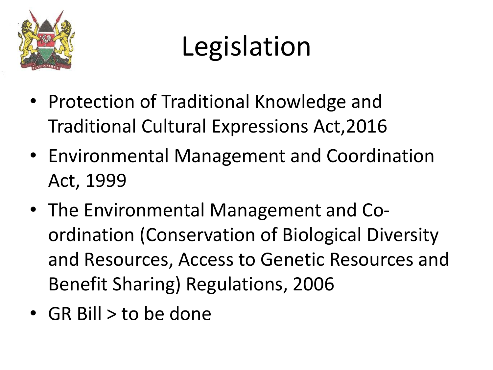

# Legislation

- Protection of Traditional Knowledge and Traditional Cultural Expressions Act,2016
- Environmental Management and Coordination Act, 1999
- The Environmental Management and Coordination (Conservation of Biological Diversity and Resources, Access to Genetic Resources and Benefit Sharing) Regulations, 2006
- GR Bill > to be done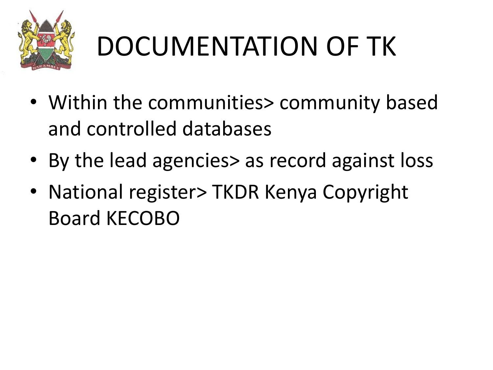

# DOCUMENTATION OF TK

- Within the communities > community based and controlled databases
- By the lead agencies> as record against loss
- National register> TKDR Kenya Copyright Board KECOBO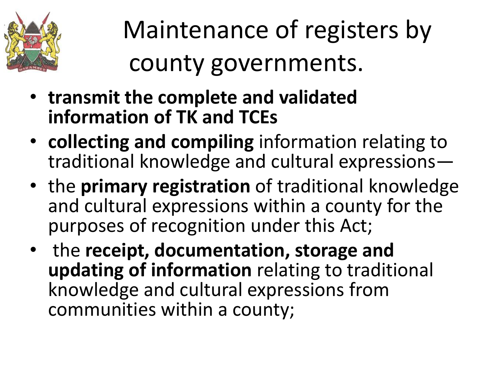

 Maintenance of registers by county governments.

- **transmit the complete and validated information of TK and TCEs**
- **collecting and compiling** information relating to traditional knowledge and cultural expressions—
- the **primary registration** of traditional knowledge and cultural expressions within a county for the purposes of recognition under this Act;
- the **receipt, documentation, storage and updating of information** relating to traditional knowledge and cultural expressions from communities within a county;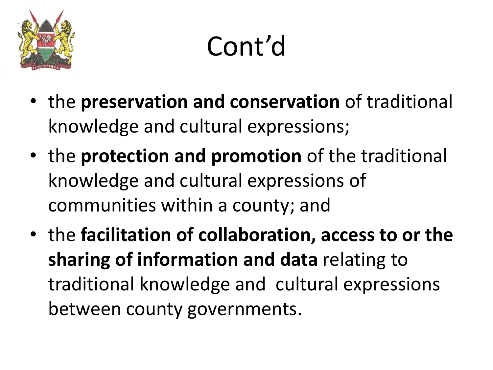

Cont'd

- the **preservation and conservation** of traditional knowledge and cultural expressions;
- the **protection and promotion** of the traditional knowledge and cultural expressions of communities within a county; and
- the **facilitation of collaboration, access to or the sharing of information and data** relating to traditional knowledge and cultural expressions between county governments.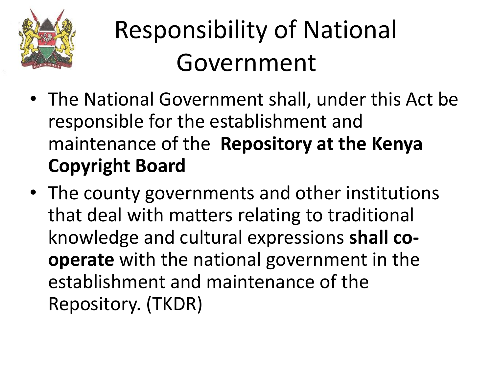

### Responsibility of National Government

- The National Government shall, under this Act be responsible for the establishment and maintenance of the **Repository at the Kenya Copyright Board**
- The county governments and other institutions that deal with matters relating to traditional knowledge and cultural expressions **shall cooperate** with the national government in the establishment and maintenance of the Repository. (TKDR)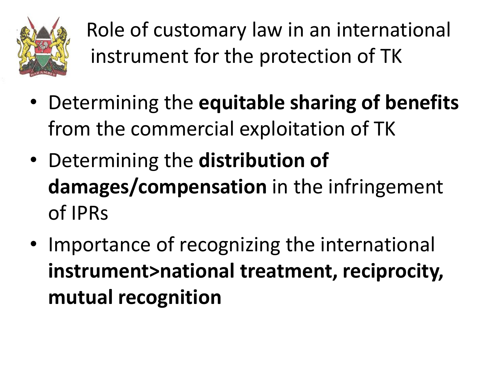

 Role of customary law in an international instrument for the protection of TK

- Determining the **equitable sharing of benefits**  from the commercial exploitation of TK
- Determining the **distribution of damages/compensation** in the infringement of IPRs
- Importance of recognizing the international **instrument>national treatment, reciprocity, mutual recognition**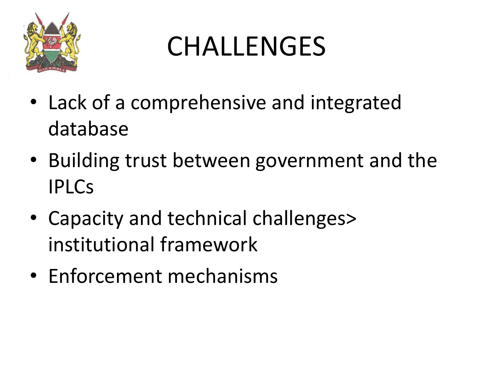

### CHALLENGES

- Lack of a comprehensive and integrated database
- Building trust between government and the IPLCs
- Capacity and technical challenges> institutional framework
- Enforcement mechanisms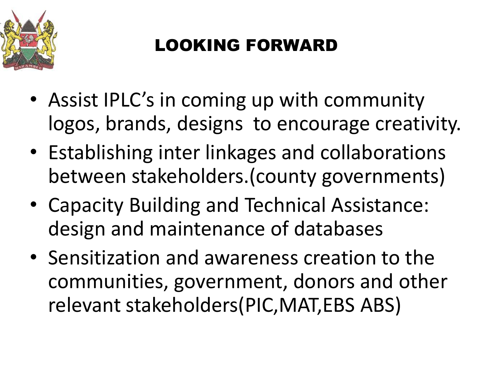

#### LOOKING FORWARD

- Assist IPLC's in coming up with community logos, brands, designs to encourage creativity.
- Establishing inter linkages and collaborations between stakeholders.(county governments)
- Capacity Building and Technical Assistance: design and maintenance of databases
- Sensitization and awareness creation to the communities, government, donors and other relevant stakeholders(PIC,MAT,EBS ABS)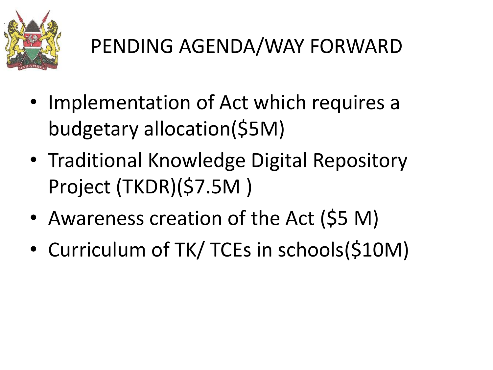

### PENDING AGENDA/WAY FORWARD

- Implementation of Act which requires a budgetary allocation(\$5M)
- Traditional Knowledge Digital Repository Project (TKDR)(\$7.5M )
- Awareness creation of the Act (\$5 M)
- Curriculum of TK/ TCEs in schools(\$10M)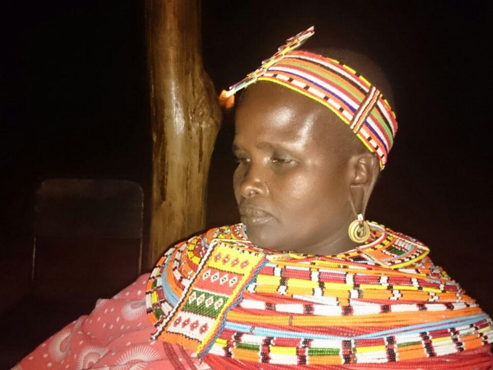